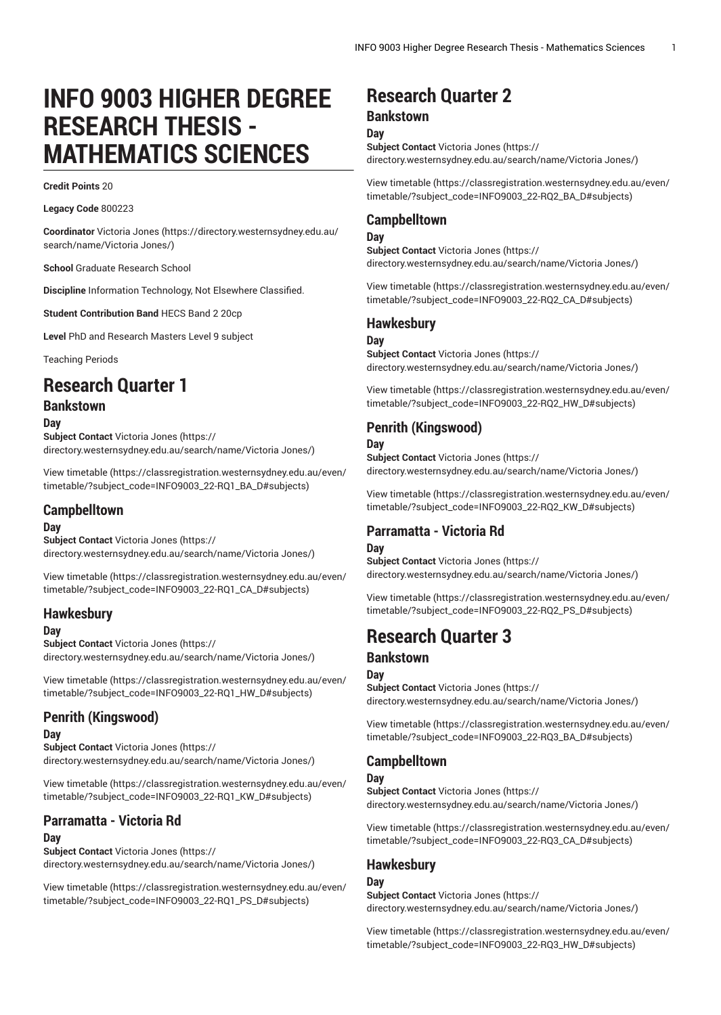# **INFO 9003 HIGHER DEGREE RESEARCH THESIS - MATHEMATICS SCIENCES**

#### **Credit Points** 20

**Legacy Code** 800223

**Coordinator** [Victoria Jones](https://directory.westernsydney.edu.au/search/name/Victoria Jones/) ([https://directory.westernsydney.edu.au/](https://directory.westernsydney.edu.au/search/name/Victoria Jones/) [search/name/Victoria](https://directory.westernsydney.edu.au/search/name/Victoria Jones/) Jones/)

**School** Graduate Research School

**Discipline** Information Technology, Not Elsewhere Classified.

**Student Contribution Band** HECS Band 2 20cp

**Level** PhD and Research Masters Level 9 subject

Teaching Periods

# **Research Quarter 1**

# **Bankstown**

**Day**

**Subject Contact** [Victoria Jones](https://directory.westernsydney.edu.au/search/name/Victoria Jones/) ([https://](https://directory.westernsydney.edu.au/search/name/Victoria Jones/) [directory.westernsydney.edu.au/search/name/Victoria](https://directory.westernsydney.edu.au/search/name/Victoria Jones/) Jones/)

[View timetable](https://classregistration.westernsydney.edu.au/even/timetable/?subject_code=INFO9003_22-RQ1_BA_D#subjects) ([https://classregistration.westernsydney.edu.au/even/](https://classregistration.westernsydney.edu.au/even/timetable/?subject_code=INFO9003_22-RQ1_BA_D#subjects) [timetable/?subject\\_code=INFO9003\\_22-RQ1\\_BA\\_D#subjects\)](https://classregistration.westernsydney.edu.au/even/timetable/?subject_code=INFO9003_22-RQ1_BA_D#subjects)

## **Campbelltown**

#### **Day**

**Subject Contact** [Victoria Jones](https://directory.westernsydney.edu.au/search/name/Victoria Jones/) ([https://](https://directory.westernsydney.edu.au/search/name/Victoria Jones/) [directory.westernsydney.edu.au/search/name/Victoria](https://directory.westernsydney.edu.au/search/name/Victoria Jones/) Jones/)

[View timetable](https://classregistration.westernsydney.edu.au/even/timetable/?subject_code=INFO9003_22-RQ1_CA_D#subjects) ([https://classregistration.westernsydney.edu.au/even/](https://classregistration.westernsydney.edu.au/even/timetable/?subject_code=INFO9003_22-RQ1_CA_D#subjects) [timetable/?subject\\_code=INFO9003\\_22-RQ1\\_CA\\_D#subjects\)](https://classregistration.westernsydney.edu.au/even/timetable/?subject_code=INFO9003_22-RQ1_CA_D#subjects)

# **Hawkesbury**

**Day**

**Subject Contact** [Victoria Jones](https://directory.westernsydney.edu.au/search/name/Victoria Jones/) ([https://](https://directory.westernsydney.edu.au/search/name/Victoria Jones/) [directory.westernsydney.edu.au/search/name/Victoria](https://directory.westernsydney.edu.au/search/name/Victoria Jones/) Jones/)

[View timetable](https://classregistration.westernsydney.edu.au/even/timetable/?subject_code=INFO9003_22-RQ1_HW_D#subjects) ([https://classregistration.westernsydney.edu.au/even/](https://classregistration.westernsydney.edu.au/even/timetable/?subject_code=INFO9003_22-RQ1_HW_D#subjects) [timetable/?subject\\_code=INFO9003\\_22-RQ1\\_HW\\_D#subjects](https://classregistration.westernsydney.edu.au/even/timetable/?subject_code=INFO9003_22-RQ1_HW_D#subjects))

# **Penrith (Kingswood)**

#### **Day**

**Subject Contact** [Victoria Jones](https://directory.westernsydney.edu.au/search/name/Victoria Jones/) ([https://](https://directory.westernsydney.edu.au/search/name/Victoria Jones/) [directory.westernsydney.edu.au/search/name/Victoria](https://directory.westernsydney.edu.au/search/name/Victoria Jones/) Jones/)

[View timetable](https://classregistration.westernsydney.edu.au/even/timetable/?subject_code=INFO9003_22-RQ1_KW_D#subjects) ([https://classregistration.westernsydney.edu.au/even/](https://classregistration.westernsydney.edu.au/even/timetable/?subject_code=INFO9003_22-RQ1_KW_D#subjects) [timetable/?subject\\_code=INFO9003\\_22-RQ1\\_KW\\_D#subjects\)](https://classregistration.westernsydney.edu.au/even/timetable/?subject_code=INFO9003_22-RQ1_KW_D#subjects)

# **Parramatta - Victoria Rd**

#### **Day**

**Subject Contact** [Victoria Jones](https://directory.westernsydney.edu.au/search/name/Victoria Jones/) ([https://](https://directory.westernsydney.edu.au/search/name/Victoria Jones/) [directory.westernsydney.edu.au/search/name/Victoria](https://directory.westernsydney.edu.au/search/name/Victoria Jones/) Jones/)

[View timetable](https://classregistration.westernsydney.edu.au/even/timetable/?subject_code=INFO9003_22-RQ1_PS_D#subjects) ([https://classregistration.westernsydney.edu.au/even/](https://classregistration.westernsydney.edu.au/even/timetable/?subject_code=INFO9003_22-RQ1_PS_D#subjects) [timetable/?subject\\_code=INFO9003\\_22-RQ1\\_PS\\_D#subjects\)](https://classregistration.westernsydney.edu.au/even/timetable/?subject_code=INFO9003_22-RQ1_PS_D#subjects)

# **Research Quarter 2**

#### **Bankstown**

**Day Subject Contact** [Victoria Jones](https://directory.westernsydney.edu.au/search/name/Victoria Jones/) ([https://](https://directory.westernsydney.edu.au/search/name/Victoria Jones/) [directory.westernsydney.edu.au/search/name/Victoria](https://directory.westernsydney.edu.au/search/name/Victoria Jones/) Jones/)

[View timetable](https://classregistration.westernsydney.edu.au/even/timetable/?subject_code=INFO9003_22-RQ2_BA_D#subjects) [\(https://classregistration.westernsydney.edu.au/even/](https://classregistration.westernsydney.edu.au/even/timetable/?subject_code=INFO9003_22-RQ2_BA_D#subjects) [timetable/?subject\\_code=INFO9003\\_22-RQ2\\_BA\\_D#subjects](https://classregistration.westernsydney.edu.au/even/timetable/?subject_code=INFO9003_22-RQ2_BA_D#subjects))

## **Campbelltown**

**Day**

**Subject Contact** [Victoria Jones](https://directory.westernsydney.edu.au/search/name/Victoria Jones/) ([https://](https://directory.westernsydney.edu.au/search/name/Victoria Jones/) [directory.westernsydney.edu.au/search/name/Victoria](https://directory.westernsydney.edu.au/search/name/Victoria Jones/) Jones/)

[View timetable](https://classregistration.westernsydney.edu.au/even/timetable/?subject_code=INFO9003_22-RQ2_CA_D#subjects) [\(https://classregistration.westernsydney.edu.au/even/](https://classregistration.westernsydney.edu.au/even/timetable/?subject_code=INFO9003_22-RQ2_CA_D#subjects) [timetable/?subject\\_code=INFO9003\\_22-RQ2\\_CA\\_D#subjects](https://classregistration.westernsydney.edu.au/even/timetable/?subject_code=INFO9003_22-RQ2_CA_D#subjects))

# **Hawkesbury**

#### **Day**

**Subject Contact** [Victoria Jones](https://directory.westernsydney.edu.au/search/name/Victoria Jones/) ([https://](https://directory.westernsydney.edu.au/search/name/Victoria Jones/) [directory.westernsydney.edu.au/search/name/Victoria](https://directory.westernsydney.edu.au/search/name/Victoria Jones/) Jones/)

[View timetable](https://classregistration.westernsydney.edu.au/even/timetable/?subject_code=INFO9003_22-RQ2_HW_D#subjects) [\(https://classregistration.westernsydney.edu.au/even/](https://classregistration.westernsydney.edu.au/even/timetable/?subject_code=INFO9003_22-RQ2_HW_D#subjects) [timetable/?subject\\_code=INFO9003\\_22-RQ2\\_HW\\_D#subjects\)](https://classregistration.westernsydney.edu.au/even/timetable/?subject_code=INFO9003_22-RQ2_HW_D#subjects)

# **Penrith (Kingswood)**

#### **Day**

**Subject Contact** [Victoria Jones](https://directory.westernsydney.edu.au/search/name/Victoria Jones/) ([https://](https://directory.westernsydney.edu.au/search/name/Victoria Jones/) [directory.westernsydney.edu.au/search/name/Victoria](https://directory.westernsydney.edu.au/search/name/Victoria Jones/) Jones/)

[View timetable](https://classregistration.westernsydney.edu.au/even/timetable/?subject_code=INFO9003_22-RQ2_KW_D#subjects) [\(https://classregistration.westernsydney.edu.au/even/](https://classregistration.westernsydney.edu.au/even/timetable/?subject_code=INFO9003_22-RQ2_KW_D#subjects) [timetable/?subject\\_code=INFO9003\\_22-RQ2\\_KW\\_D#subjects](https://classregistration.westernsydney.edu.au/even/timetable/?subject_code=INFO9003_22-RQ2_KW_D#subjects))

### **Parramatta - Victoria Rd Day**

**Subject Contact** [Victoria Jones](https://directory.westernsydney.edu.au/search/name/Victoria Jones/) ([https://](https://directory.westernsydney.edu.au/search/name/Victoria Jones/) [directory.westernsydney.edu.au/search/name/Victoria](https://directory.westernsydney.edu.au/search/name/Victoria Jones/) Jones/)

[View timetable](https://classregistration.westernsydney.edu.au/even/timetable/?subject_code=INFO9003_22-RQ2_PS_D#subjects) [\(https://classregistration.westernsydney.edu.au/even/](https://classregistration.westernsydney.edu.au/even/timetable/?subject_code=INFO9003_22-RQ2_PS_D#subjects) [timetable/?subject\\_code=INFO9003\\_22-RQ2\\_PS\\_D#subjects\)](https://classregistration.westernsydney.edu.au/even/timetable/?subject_code=INFO9003_22-RQ2_PS_D#subjects)

# **Research Quarter 3**

# **Bankstown**

#### **Day**

**Subject Contact** [Victoria Jones](https://directory.westernsydney.edu.au/search/name/Victoria Jones/) ([https://](https://directory.westernsydney.edu.au/search/name/Victoria Jones/) [directory.westernsydney.edu.au/search/name/Victoria](https://directory.westernsydney.edu.au/search/name/Victoria Jones/) Jones/)

[View timetable](https://classregistration.westernsydney.edu.au/even/timetable/?subject_code=INFO9003_22-RQ3_BA_D#subjects) [\(https://classregistration.westernsydney.edu.au/even/](https://classregistration.westernsydney.edu.au/even/timetable/?subject_code=INFO9003_22-RQ3_BA_D#subjects) [timetable/?subject\\_code=INFO9003\\_22-RQ3\\_BA\\_D#subjects](https://classregistration.westernsydney.edu.au/even/timetable/?subject_code=INFO9003_22-RQ3_BA_D#subjects))

# **Campbelltown**

#### **Day**

**Subject Contact** [Victoria Jones](https://directory.westernsydney.edu.au/search/name/Victoria Jones/) ([https://](https://directory.westernsydney.edu.au/search/name/Victoria Jones/) [directory.westernsydney.edu.au/search/name/Victoria](https://directory.westernsydney.edu.au/search/name/Victoria Jones/) Jones/)

[View timetable](https://classregistration.westernsydney.edu.au/even/timetable/?subject_code=INFO9003_22-RQ3_CA_D#subjects) [\(https://classregistration.westernsydney.edu.au/even/](https://classregistration.westernsydney.edu.au/even/timetable/?subject_code=INFO9003_22-RQ3_CA_D#subjects) [timetable/?subject\\_code=INFO9003\\_22-RQ3\\_CA\\_D#subjects](https://classregistration.westernsydney.edu.au/even/timetable/?subject_code=INFO9003_22-RQ3_CA_D#subjects))

# **Hawkesbury**

**Day Subject Contact** [Victoria Jones](https://directory.westernsydney.edu.au/search/name/Victoria Jones/) ([https://](https://directory.westernsydney.edu.au/search/name/Victoria Jones/) [directory.westernsydney.edu.au/search/name/Victoria](https://directory.westernsydney.edu.au/search/name/Victoria Jones/) Jones/)

[View timetable](https://classregistration.westernsydney.edu.au/even/timetable/?subject_code=INFO9003_22-RQ3_HW_D#subjects) [\(https://classregistration.westernsydney.edu.au/even/](https://classregistration.westernsydney.edu.au/even/timetable/?subject_code=INFO9003_22-RQ3_HW_D#subjects) [timetable/?subject\\_code=INFO9003\\_22-RQ3\\_HW\\_D#subjects\)](https://classregistration.westernsydney.edu.au/even/timetable/?subject_code=INFO9003_22-RQ3_HW_D#subjects)